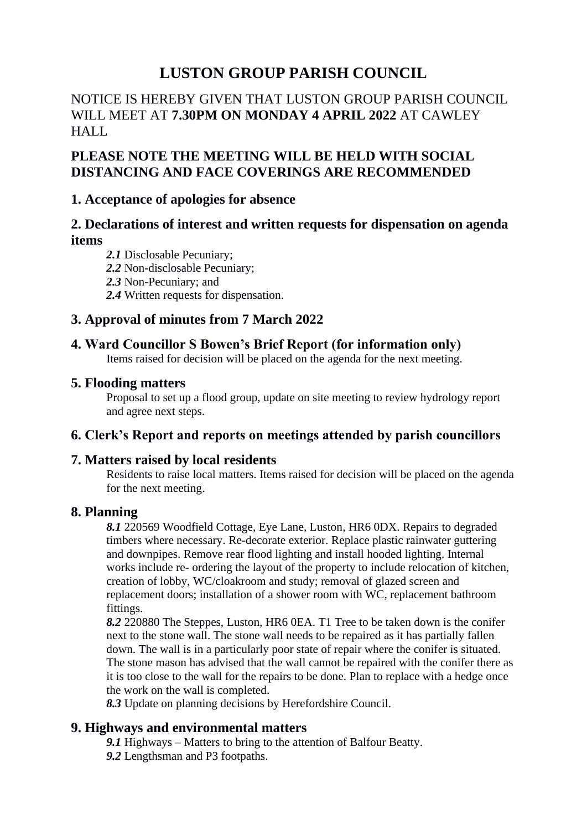# **LUSTON GROUP PARISH COUNCIL**

## NOTICE IS HEREBY GIVEN THAT LUSTON GROUP PARISH COUNCIL WILL MEET AT **7.30PM ON MONDAY 4 APRIL 2022** AT CAWLEY HALL

# **PLEASE NOTE THE MEETING WILL BE HELD WITH SOCIAL DISTANCING AND FACE COVERINGS ARE RECOMMENDED**

## **1. Acceptance of apologies for absence**

## **2. Declarations of interest and written requests for dispensation on agenda items**

- *2.1* Disclosable Pecuniary;
- *2.2* Non-disclosable Pecuniary;
- *2.3* Non-Pecuniary; and
- *2.4* Written requests for dispensation.

# **3. Approval of minutes from 7 March 2022**

## **4. Ward Councillor S Bowen's Brief Report (for information only)**

Items raised for decision will be placed on the agenda for the next meeting.

## **5. Flooding matters**

Proposal to set up a flood group, update on site meeting to review hydrology report and agree next steps.

## **6. Clerk's Report and reports on meetings attended by parish councillors**

## **7. Matters raised by local residents**

Residents to raise local matters. Items raised for decision will be placed on the agenda for the next meeting.

## **8. Planning**

*8.1* 220569 Woodfield Cottage, Eye Lane, Luston, HR6 0DX. Repairs to degraded timbers where necessary. Re-decorate exterior. Replace plastic rainwater guttering and downpipes. Remove rear flood lighting and install hooded lighting. Internal works include re- ordering the layout of the property to include relocation of kitchen, creation of lobby, WC/cloakroom and study; removal of glazed screen and replacement doors; installation of a shower room with WC, replacement bathroom fittings.

*8.2* 220880 The Steppes, Luston, HR6 0EA. T1 Tree to be taken down is the conifer next to the stone wall. The stone wall needs to be repaired as it has partially fallen down. The wall is in a particularly poor state of repair where the conifer is situated. The stone mason has advised that the wall cannot be repaired with the conifer there as it is too close to the wall for the repairs to be done. Plan to replace with a hedge once the work on the wall is completed.

*8.3* Update on planning decisions by Herefordshire Council.

## **9. Highways and environmental matters**

*9.1* Highways – Matters to bring to the attention of Balfour Beatty. *9.2* Lengthsman and P3 footpaths.